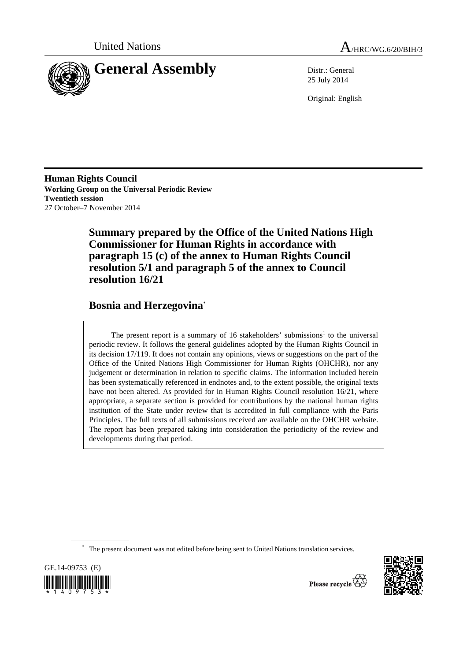



25 July 2014

Original: English

**Human Rights Council Working Group on the Universal Periodic Review Twentieth session**  27 October–7 November 2014

> **Summary prepared by the Office of the United Nations High Commissioner for Human Rights in accordance with paragraph 15 (c) of the annex to Human Rights Council resolution 5/1 and paragraph 5 of the annex to Council resolution 16/21**

# **Bosnia and Herzegovina**\*

The present report is a summary of 16 stakeholders' submissions<sup>1</sup> to the universal periodic review. It follows the general guidelines adopted by the Human Rights Council in its decision 17/119. It does not contain any opinions, views or suggestions on the part of the Office of the United Nations High Commissioner for Human Rights (OHCHR), nor any judgement or determination in relation to specific claims. The information included herein has been systematically referenced in endnotes and, to the extent possible, the original texts have not been altered. As provided for in Human Rights Council resolution 16/21, where appropriate, a separate section is provided for contributions by the national human rights institution of the State under review that is accredited in full compliance with the Paris Principles. The full texts of all submissions received are available on the OHCHR website. The report has been prepared taking into consideration the periodicity of the review and developments during that period.

\* The present document was not edited before being sent to United Nations translation services.





Please recycle  $\overleftrightarrow{C}$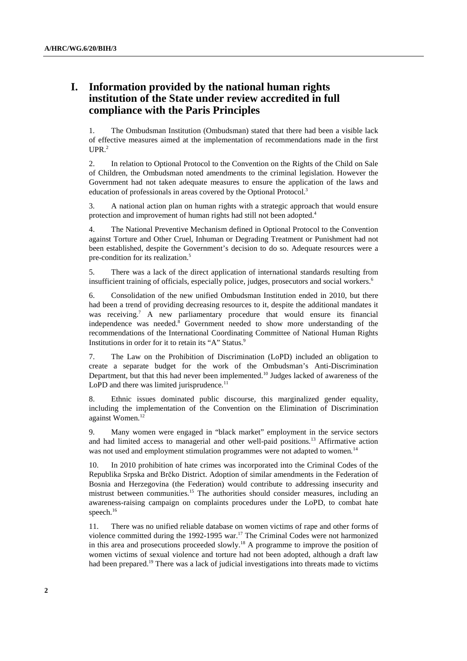# **I. Information provided by the national human rights institution of the State under review accredited in full compliance with the Paris Principles**

1. The Ombudsman Institution (Ombudsman) stated that there had been a visible lack of effective measures aimed at the implementation of recommendations made in the first  $UPR<sup>2</sup>$ 

2. In relation to Optional Protocol to the Convention on the Rights of the Child on Sale of Children, the Ombudsman noted amendments to the criminal legislation. However the Government had not taken adequate measures to ensure the application of the laws and education of professionals in areas covered by the Optional Protocol.<sup>3</sup>

3. A national action plan on human rights with a strategic approach that would ensure protection and improvement of human rights had still not been adopted.<sup>4</sup>

4. The National Preventive Mechanism defined in Optional Protocol to the Convention against Torture and Other Cruel, Inhuman or Degrading Treatment or Punishment had not been established, despite the Government's decision to do so. Adequate resources were a pre-condition for its realization.<sup>5</sup>

5. There was a lack of the direct application of international standards resulting from insufficient training of officials, especially police, judges, prosecutors and social workers.<sup>6</sup>

6. Consolidation of the new unified Ombudsman Institution ended in 2010, but there had been a trend of providing decreasing resources to it, despite the additional mandates it was receiving.<sup>7</sup> A new parliamentary procedure that would ensure its financial independence was needed.<sup>8</sup> Government needed to show more understanding of the recommendations of the International Coordinating Committee of National Human Rights Institutions in order for it to retain its "A" Status.<sup>9</sup>

7. The Law on the Prohibition of Discrimination (LoPD) included an obligation to create a separate budget for the work of the Ombudsman's Anti-Discrimination Department, but that this had never been implemented.<sup>10</sup> Judges lacked of awareness of the LoPD and there was limited jurisprudence*.* 11

8. Ethnic issues dominated public discourse, this marginalized gender equality, including the implementation of the Convention on the Elimination of Discrimination against Women.<sup>12</sup>

9. Many women were engaged in "black market" employment in the service sectors and had limited access to managerial and other well-paid positions.13 Affirmative action was not used and employment stimulation programmes were not adapted to women*.* 14

10. In 2010 prohibition of hate crimes was incorporated into the Criminal Codes of the Republika Srpska and Brčko District. Adoption of similar amendments in the Federation of Bosnia and Herzegovina (the Federation) would contribute to addressing insecurity and mistrust between communities.15 The authorities should consider measures, including an awareness-raising campaign on complaints procedures under the LoPD, to combat hate speech.<sup>16</sup>

11. There was no unified reliable database on women victims of rape and other forms of violence committed during the 1992-1995 war.17 The Criminal Codes were not harmonized in this area and prosecutions proceeded slowly.18 A programme to improve the position of women victims of sexual violence and torture had not been adopted, although a draft law had been prepared.<sup>19</sup> There was a lack of judicial investigations into threats made to victims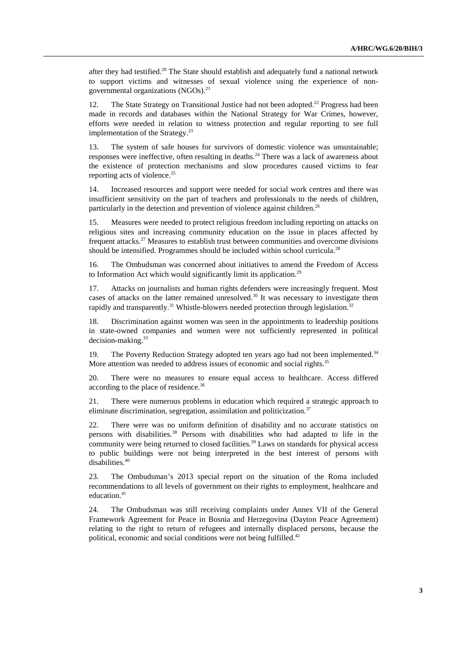after they had testified.<sup>20</sup> The State should establish and adequately fund a national network to support victims and witnesses of sexual violence using the experience of nongovernmental organizations  $(NGOs)^{21}$ 

12. The State Strategy on Transitional Justice had not been adopted.<sup>22</sup> Progress had been made in records and databases within the National Strategy for War Crimes, however, efforts were needed in relation to witness protection and regular reporting to see full implementation of the Strategy. $^{23}$ 

13. The system of safe houses for survivors of domestic violence was unsustainable; responses were ineffective, often resulting in deaths.<sup>24</sup> There was a lack of awareness about the existence of protection mechanisms and slow procedures caused victims to fear reporting acts of violence.<sup>25</sup>

14. Increased resources and support were needed for social work centres and there was insufficient sensitivity on the part of teachers and professionals to the needs of children, particularly in the detection and prevention of violence against children.<sup>26</sup>

15. Measures were needed to protect religious freedom including reporting on attacks on religious sites and increasing community education on the issue in places affected by frequent attacks.27 Measures to establish trust between communities and overcome divisions should be intensified. Programmes should be included within school curricula.<sup>28</sup>

16. The Ombudsman was concerned about initiatives to amend the Freedom of Access to Information Act which would significantly limit its application.<sup>29</sup>

17. Attacks on journalists and human rights defenders were increasingly frequent. Most cases of attacks on the latter remained unresolved.<sup>30</sup> It was necessary to investigate them rapidly and transparently.<sup>31</sup> Whistle-blowers needed protection through legislation.<sup>32</sup>

18. Discrimination against women was seen in the appointments to leadership positions in state-owned companies and women were not sufficiently represented in political decision-making.<sup>33</sup>

19. The Poverty Reduction Strategy adopted ten years ago had not been implemented.34 More attention was needed to address issues of economic and social rights.<sup>35</sup>

20. There were no measures to ensure equal access to healthcare. Access differed according to the place of residence.36

21. There were numerous problems in education which required a strategic approach to eliminate discrimination, segregation, assimilation and politicization.<sup>37</sup>

22. There were was no uniform definition of disability and no accurate statistics on persons with disabilities.38 Persons with disabilities who had adapted to life in the community were being returned to closed facilities.<sup>39</sup> Laws on standards for physical access to public buildings were not being interpreted in the best interest of persons with disabilities.<sup>40</sup>

23. The Ombudsman's 2013 special report on the situation of the Roma included recommendations to all levels of government on their rights to employment, healthcare and education.<sup>41</sup>

24. The Ombudsman was still receiving complaints under Annex VII of the General Framework Agreement for Peace in Bosnia and Herzegovina (Dayton Peace Agreement) relating to the right to return of refugees and internally displaced persons, because the political, economic and social conditions were not being fulfilled.<sup>42</sup>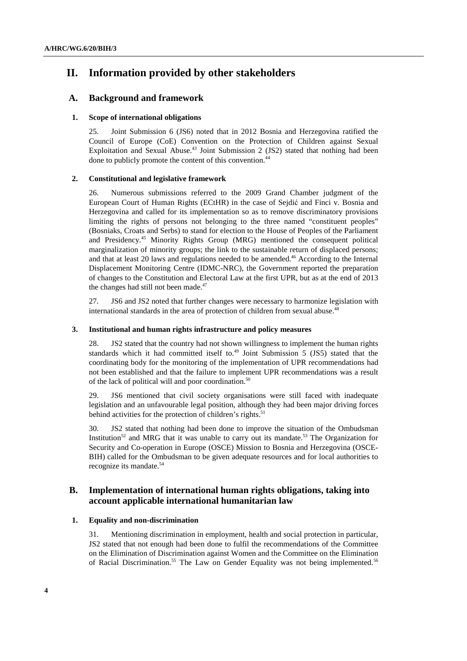# **II. Information provided by other stakeholders**

## **A. Background and framework**

## **1. Scope of international obligations**

25. Joint Submission 6 (JS6) noted that in 2012 Bosnia and Herzegovina ratified the Council of Europe (CoE) Convention on the Protection of Children against Sexual Exploitation and Sexual Abuse.<sup>43</sup> Joint Submission 2 (JS2) stated that nothing had been done to publicly promote the content of this convention.<sup>44</sup>

## **2. Constitutional and legislative framework**

26. Numerous submissions referred to the 2009 Grand Chamber judgment of the European Court of Human Rights (ECtHR) in the case of Sejdić and Finci v. Bosnia and Herzegovina and called for its implementation so as to remove discriminatory provisions limiting the rights of persons not belonging to the three named "constituent peoples" (Bosniaks, Croats and Serbs) to stand for election to the House of Peoples of the Parliament and Presidency.45 Minority Rights Group (MRG) mentioned the consequent political marginalization of minority groups; the link to the sustainable return of displaced persons; and that at least 20 laws and regulations needed to be amended.<sup>46</sup> According to the Internal Displacement Monitoring Centre (IDMC-NRC), the Government reported the preparation of changes to the Constitution and Electoral Law at the first UPR, but as at the end of 2013 the changes had still not been made. $47$ 

27. JS6 and JS2 noted that further changes were necessary to harmonize legislation with international standards in the area of protection of children from sexual abuse.<sup>48</sup>

## **3. Institutional and human rights infrastructure and policy measures**

28. JS2 stated that the country had not shown willingness to implement the human rights standards which it had committed itself to.<sup>49</sup> Joint Submission 5 (JS5) stated that the coordinating body for the monitoring of the implementation of UPR recommendations had not been established and that the failure to implement UPR recommendations was a result of the lack of political will and poor coordination.<sup>50</sup>

29. JS6 mentioned that civil society organisations were still faced with inadequate legislation and an unfavourable legal position, although they had been major driving forces behind activities for the protection of children's rights. $51$ 

30. JS2 stated that nothing had been done to improve the situation of the Ombudsman Institution<sup>52</sup> and MRG that it was unable to carry out its mandate.<sup>53</sup> The Organization for Security and Co-operation in Europe (OSCE) Mission to Bosnia and Herzegovina (OSCE-BIH) called for the Ombudsman to be given adequate resources and for local authorities to recognize its mandate.<sup>54</sup>

## **B. Implementation of international human rights obligations, taking into account applicable international humanitarian law**

## **1. Equality and non-discrimination**

31. Mentioning discrimination in employment, health and social protection in particular, JS2 stated that not enough had been done to fulfil the recommendations of the Committee on the Elimination of Discrimination against Women and the Committee on the Elimination of Racial Discrimination.<sup>55</sup> The Law on Gender Equality was not being implemented.<sup>56</sup>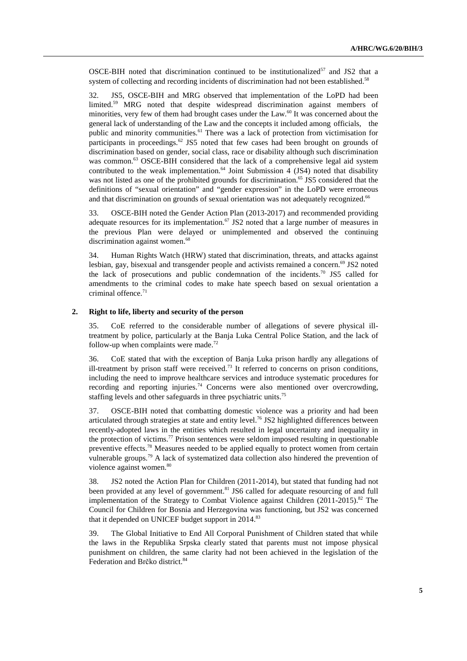OSCE-BIH noted that discrimination continued to be institutionalized<sup>57</sup> and JS2 that a system of collecting and recording incidents of discrimination had not been established.<sup>58</sup>

32. JS5, OSCE-BIH and MRG observed that implementation of the LoPD had been limited.<sup>59</sup> MRG noted that despite widespread discrimination against members of minorities, very few of them had brought cases under the Law.<sup>60</sup> It was concerned about the general lack of understanding of the Law and the concepts it included among officials, the public and minority communities.<sup>61</sup> There was a lack of protection from victimisation for participants in proceedings.<sup>62</sup> JS5 noted that few cases had been brought on grounds of discrimination based on gender, social class, race or disability although such discrimination was common.<sup>63</sup> OSCE-BIH considered that the lack of a comprehensive legal aid system contributed to the weak implementation.<sup>64</sup> Joint Submission  $\frac{1}{4}$  (JS4) noted that disability was not listed as one of the prohibited grounds for discrimination.<sup>65</sup> JS5 considered that the definitions of "sexual orientation" and "gender expression" in the LoPD were erroneous and that discrimination on grounds of sexual orientation was not adequately recognized.<sup>66</sup>

33. OSCE-BIH noted the Gender Action Plan (2013-2017) and recommended providing adequate resources for its implementation.<sup>67</sup> JS2 noted that a large number of measures in the previous Plan were delayed or unimplemented and observed the continuing discrimination against women.<sup>68</sup>

34. Human Rights Watch (HRW) stated that discrimination, threats, and attacks against lesbian, gay, bisexual and transgender people and activists remained a concern.<sup>69</sup> JS2 noted the lack of prosecutions and public condemnation of the incidents.<sup>70</sup> JS5 called for amendments to the criminal codes to make hate speech based on sexual orientation a criminal offence. $71$ 

#### **2. Right to life, liberty and security of the person**

35. CoE referred to the considerable number of allegations of severe physical illtreatment by police, particularly at the Banja Luka Central Police Station, and the lack of follow-up when complaints were made.<sup>72</sup>

36. CoE stated that with the exception of Banja Luka prison hardly any allegations of ill-treatment by prison staff were received.<sup>73</sup> It referred to concerns on prison conditions, including the need to improve healthcare services and introduce systematic procedures for recording and reporting injuries.<sup>74</sup> Concerns were also mentioned over overcrowding, staffing levels and other safeguards in three psychiatric units.<sup>75</sup>

37. OSCE-BIH noted that combatting domestic violence was a priority and had been articulated through strategies at state and entity level.<sup>76</sup> JS2 highlighted differences between recently-adopted laws in the entities which resulted in legal uncertainty and inequality in the protection of victims.<sup>77</sup> Prison sentences were seldom imposed resulting in questionable preventive effects.<sup>78</sup> Measures needed to be applied equally to protect women from certain vulnerable groups.<sup>79</sup> A lack of systematized data collection also hindered the prevention of violence against women.<sup>80</sup>

38. JS2 noted the Action Plan for Children (2011-2014), but stated that funding had not been provided at any level of government.<sup>81</sup> JS6 called for adequate resourcing of and full implementation of the Strategy to Combat Violence against Children (2011-2015).<sup>82</sup> The Council for Children for Bosnia and Herzegovina was functioning, but JS2 was concerned that it depended on UNICEF budget support in 2014.<sup>83</sup>

39. The Global Initiative to End All Corporal Punishment of Children stated that while the laws in the Republika Srpska clearly stated that parents must not impose physical punishment on children, the same clarity had not been achieved in the legislation of the Federation and Brčko district.<sup>84</sup>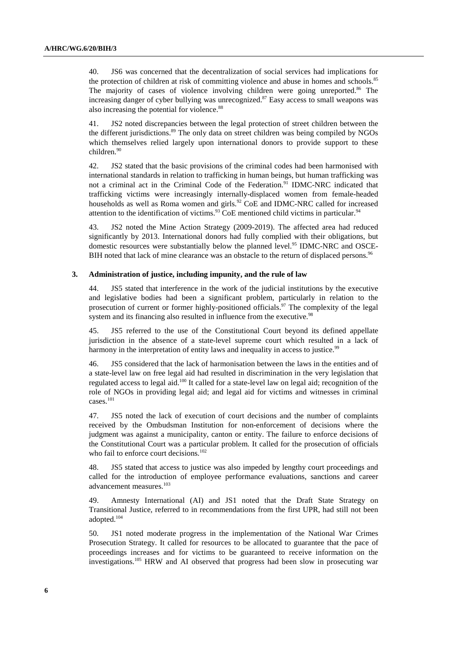40. JS6 was concerned that the decentralization of social services had implications for the protection of children at risk of committing violence and abuse in homes and schools.<sup>85</sup> The majority of cases of violence involving children were going unreported. $86$  The increasing danger of cyber bullying was unrecognized.<sup>87</sup> Easy access to small weapons was also increasing the potential for violence.<sup>88</sup>

41. JS2 noted discrepancies between the legal protection of street children between the the different jurisdictions.<sup>89</sup> The only data on street children was being compiled by NGOs which themselves relied largely upon international donors to provide support to these children.<sup>90</sup>

42. JS2 stated that the basic provisions of the criminal codes had been harmonised with international standards in relation to trafficking in human beings, but human trafficking was not a criminal act in the Criminal Code of the Federation.<sup>91</sup> IDMC-NRC indicated that trafficking victims were increasingly internally-displaced women from female-headed households as well as Roma women and girls.<sup>92</sup> CoE and IDMC-NRC called for increased attention to the identification of victims.<sup>93</sup> CoE mentioned child victims in particular.<sup>94</sup>

43. JS2 noted the Mine Action Strategy (2009-2019). The affected area had reduced significantly by 2013. International donors had fully complied with their obligations, but domestic resources were substantially below the planned level.<sup>95</sup> IDMC-NRC and OSCE-BIH noted that lack of mine clearance was an obstacle to the return of displaced persons.<sup>96</sup>

#### **3. Administration of justice, including impunity, and the rule of law**

44. JS5 stated that interference in the work of the judicial institutions by the executive and legislative bodies had been a significant problem, particularly in relation to the prosecution of current or former highly-positioned officials.<sup>97</sup> The complexity of the legal system and its financing also resulted in influence from the executive.<sup>98</sup>

45. JS5 referred to the use of the Constitutional Court beyond its defined appellate jurisdiction in the absence of a state-level supreme court which resulted in a lack of harmony in the interpretation of entity laws and inequality in access to justice.<sup>99</sup>

46. JS5 considered that the lack of harmonisation between the laws in the entities and of a state-level law on free legal aid had resulted in discrimination in the very legislation that regulated access to legal aid.<sup>100</sup> It called for a state-level law on legal aid; recognition of the role of NGOs in providing legal aid; and legal aid for victims and witnesses in criminal cases.101

47. JS5 noted the lack of execution of court decisions and the number of complaints received by the Ombudsman Institution for non-enforcement of decisions where the judgment was against a municipality, canton or entity. The failure to enforce decisions of the Constitutional Court was a particular problem. It called for the prosecution of officials who fail to enforce court decisions.<sup>102</sup>

48. JS5 stated that access to justice was also impeded by lengthy court proceedings and called for the introduction of employee performance evaluations, sanctions and career advancement measures.<sup>103</sup>

49. Amnesty International (AI) and JS1 noted that the Draft State Strategy on Transitional Justice, referred to in recommendations from the first UPR, had still not been adopted.<sup>104</sup>

50. JS1 noted moderate progress in the implementation of the National War Crimes Prosecution Strategy. It called for resources to be allocated to guarantee that the pace of proceedings increases and for victims to be guaranteed to receive information on the investigations.105 HRW and AI observed that progress had been slow in prosecuting war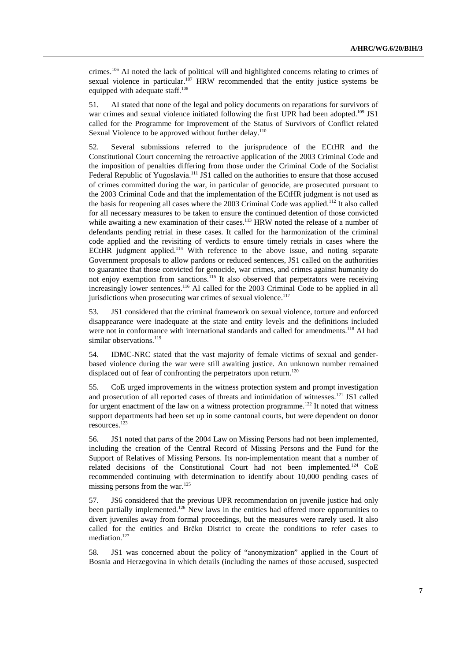crimes.106 AI noted the lack of political will and highlighted concerns relating to crimes of sexual violence in particular.<sup>107</sup> HRW recommended that the entity justice systems be equipped with adequate staff.<sup>108</sup>

51. AI stated that none of the legal and policy documents on reparations for survivors of war crimes and sexual violence initiated following the first UPR had been adopted.<sup>109</sup> JS1 called for the Programme for Improvement of the Status of Survivors of Conflict related Sexual Violence to be approved without further delay.<sup>110</sup>

52. Several submissions referred to the jurisprudence of the ECtHR and the Constitutional Court concerning the retroactive application of the 2003 Criminal Code and the imposition of penalties differing from those under the Criminal Code of the Socialist Federal Republic of Yugoslavia.<sup>111</sup> JS1 called on the authorities to ensure that those accused of crimes committed during the war, in particular of genocide, are prosecuted pursuant to the 2003 Criminal Code and that the implementation of the ECtHR judgment is not used as the basis for reopening all cases where the 2003 Criminal Code was applied.<sup>112</sup> It also called for all necessary measures to be taken to ensure the continued detention of those convicted while awaiting a new examination of their cases.<sup>113</sup> HRW noted the release of a number of defendants pending retrial in these cases. It called for the harmonization of the criminal code applied and the revisiting of verdicts to ensure timely retrials in cases where the ECtHR judgment applied. $114$  With reference to the above issue, and noting separate Government proposals to allow pardons or reduced sentences, JS1 called on the authorities to guarantee that those convicted for genocide, war crimes, and crimes against humanity do not enjoy exemption from sanctions.<sup>115</sup> It also observed that perpetrators were receiving increasingly lower sentences.<sup>116</sup> AI called for the 2003 Criminal Code to be applied in all jurisdictions when prosecuting war crimes of sexual violence. $117$ 

53. JS1 considered that the criminal framework on sexual violence, torture and enforced disappearance were inadequate at the state and entity levels and the definitions included were not in conformance with international standards and called for amendments.<sup>118</sup> AI had similar observations. $119$ 

54. IDMC-NRC stated that the vast majority of female victims of sexual and genderbased violence during the war were still awaiting justice. An unknown number remained displaced out of fear of confronting the perpetrators upon return.<sup>120</sup>

55. CoE urged improvements in the witness protection system and prompt investigation and prosecution of all reported cases of threats and intimidation of witnesses.<sup>121</sup> JS1 called for urgent enactment of the law on a witness protection programme.<sup>122</sup> It noted that witness support departments had been set up in some cantonal courts, but were dependent on donor resources.123

56. JS1 noted that parts of the 2004 Law on Missing Persons had not been implemented, including the creation of the Central Record of Missing Persons and the Fund for the Support of Relatives of Missing Persons. Its non-implementation meant that a number of related decisions of the Constitutional Court had not been implemented*.* 124 CoE recommended continuing with determination to identify about 10,000 pending cases of missing persons from the war.<sup>125</sup>

57. JS6 considered that the previous UPR recommendation on juvenile justice had only been partially implemented.<sup>126</sup> New laws in the entities had offered more opportunities to divert juveniles away from formal proceedings, but the measures were rarely used. It also called for the entities and Brčko District to create the conditions to refer cases to mediation.<sup>127</sup>

58. JS1 was concerned about the policy of "anonymization" applied in the Court of Bosnia and Herzegovina in which details (including the names of those accused, suspected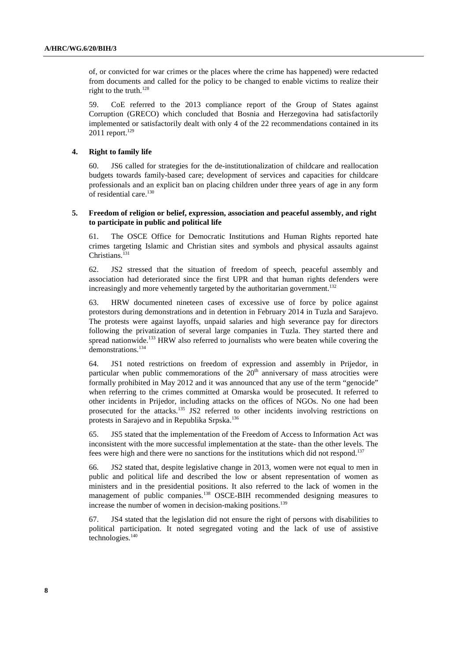of, or convicted for war crimes or the places where the crime has happened) were redacted from documents and called for the policy to be changed to enable victims to realize their right to the truth. $128$ 

59. CoE referred to the 2013 compliance report of the Group of States against Corruption (GRECO) which concluded that Bosnia and Herzegovina had satisfactorily implemented or satisfactorily dealt with only 4 of the 22 recommendations contained in its  $2011$  report.<sup>129</sup>

#### **4. Right to family life**

60. JS6 called for strategies for the de-institutionalization of childcare and reallocation budgets towards family-based care; development of services and capacities for childcare professionals and an explicit ban on placing children under three years of age in any form of residential care.<sup>130</sup>

#### **5. Freedom of religion or belief, expression, association and peaceful assembly, and right to participate in public and political life**

61. The OSCE Office for Democratic Institutions and Human Rights reported hate crimes targeting Islamic and Christian sites and symbols and physical assaults against Christians. $131$ 

62. JS2 stressed that the situation of freedom of speech, peaceful assembly and association had deteriorated since the first UPR and that human rights defenders were increasingly and more vehemently targeted by the authoritarian government.<sup>132</sup>

63. HRW documented nineteen cases of excessive use of force by police against protestors during demonstrations and in detention in February 2014 in Tuzla and Sarajevo. The protests were against layoffs, unpaid salaries and high severance pay for directors following the privatization of several large companies in Tuzla. They started there and spread nationwide.<sup>133</sup> HRW also referred to journalists who were beaten while covering the demonstrations.<sup>134</sup>

64. JS1 noted restrictions on freedom of expression and assembly in Prijedor, in particular when public commemorations of the  $20<sup>th</sup>$  anniversary of mass atrocities were formally prohibited in May 2012 and it was announced that any use of the term "genocide" when referring to the crimes committed at Omarska would be prosecuted. It referred to other incidents in Prijedor, including attacks on the offices of NGOs. No one had been prosecuted for the attacks.<sup>135</sup> JS2 referred to other incidents involving restrictions on protests in Sarajevo and in Republika Srpska.136

65. JS5 stated that the implementation of the Freedom of Access to Information Act was inconsistent with the more successful implementation at the state- than the other levels. The fees were high and there were no sanctions for the institutions which did not respond.<sup>137</sup>

66. JS2 stated that, despite legislative change in 2013, women were not equal to men in public and political life and described the low or absent representation of women as ministers and in the presidential positions. It also referred to the lack of women in the management of public companies.<sup>138</sup> OSCE-BIH recommended designing measures to increase the number of women in decision-making positions.<sup>139</sup>

67. JS4 stated that the legislation did not ensure the right of persons with disabilities to political participation. It noted segregated voting and the lack of use of assistive technologies.<sup>140</sup>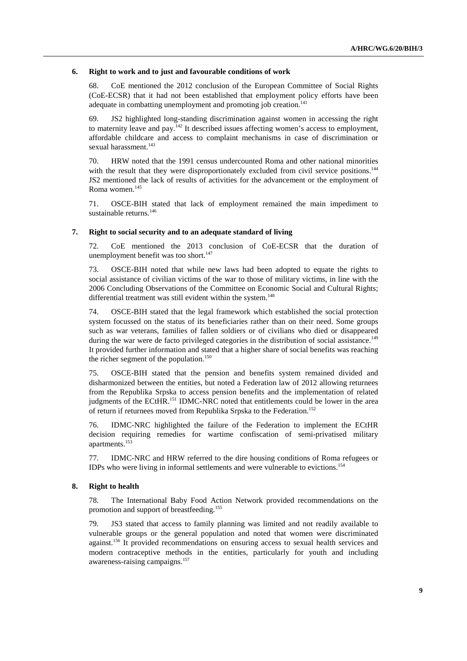#### **6. Right to work and to just and favourable conditions of work**

68. CoE mentioned the 2012 conclusion of the European Committee of Social Rights (CoE-ECSR) that it had not been established that employment policy efforts have been adequate in combatting unemployment and promoting job creation.<sup>141</sup>

69. JS2 highlighted long-standing discrimination against women in accessing the right to maternity leave and pay.<sup>142</sup> It described issues affecting women's access to employment, affordable childcare and access to complaint mechanisms in case of discrimination or sexual harassment.<sup>143</sup>

70. HRW noted that the 1991 census undercounted Roma and other national minorities with the result that they were disproportionately excluded from civil service positions.<sup>144</sup> JS2 mentioned the lack of results of activities for the advancement or the employment of Roma women.<sup>145</sup>

71. OSCE-BIH stated that lack of employment remained the main impediment to sustainable returns.<sup>146</sup>

### **7. Right to social security and to an adequate standard of living**

72. CoE mentioned the 2013 conclusion of CoE-ECSR that the duration of unemployment benefit was too short.<sup>147</sup>

73. OSCE-BIH noted that while new laws had been adopted to equate the rights to social assistance of civilian victims of the war to those of military victims, in line with the 2006 Concluding Observations of the Committee on Economic Social and Cultural Rights; differential treatment was still evident within the system.<sup>148</sup>

74. OSCE-BIH stated that the legal framework which established the social protection system focussed on the status of its beneficiaries rather than on their need. Some groups such as war veterans, families of fallen soldiers or of civilians who died or disappeared during the war were de facto privileged categories in the distribution of social assistance.<sup>149</sup> It provided further information and stated that a higher share of social benefits was reaching the richer segment of the population.<sup>150</sup>

75. OSCE-BIH stated that the pension and benefits system remained divided and disharmonized between the entities, but noted a Federation law of 2012 allowing returnees from the Republika Srpska to access pension benefits and the implementation of related judgments of the ECtHR.<sup>151</sup> IDMC-NRC noted that entitlements could be lower in the area of return if returnees moved from Republika Srpska to the Federation.<sup>152</sup>

76. IDMC-NRC highlighted the failure of the Federation to implement the ECtHR decision requiring remedies for wartime confiscation of semi-privatised military apartments.153

77. IDMC-NRC and HRW referred to the dire housing conditions of Roma refugees or IDPs who were living in informal settlements and were vulnerable to evictions.<sup>154</sup>

#### **8. Right to health**

78. The International Baby Food Action Network provided recommendations on the promotion and support of breastfeeding.<sup>155</sup>

79. JS3 stated that access to family planning was limited and not readily available to vulnerable groups or the general population and noted that women were discriminated against.<sup>156</sup> It provided recommendations on ensuring access to sexual health services and modern contraceptive methods in the entities, particularly for youth and including awareness-raising campaigns.<sup>157</sup>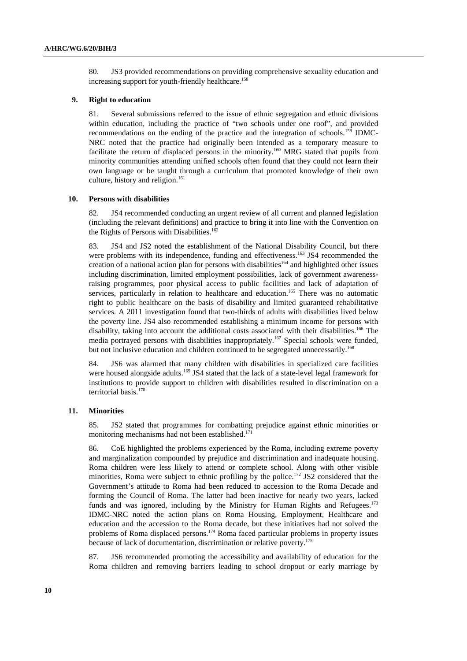80. JS3 provided recommendations on providing comprehensive sexuality education and increasing support for youth-friendly healthcare.<sup>158</sup>

#### **9. Right to education**

81. Several submissions referred to the issue of ethnic segregation and ethnic divisions within education, including the practice of "two schools under one roof", and provided recommendations on the ending of the practice and the integration of schools.159 IDMC-NRC noted that the practice had originally been intended as a temporary measure to facilitate the return of displaced persons in the minority.<sup>160</sup> MRG stated that pupils from minority communities attending unified schools often found that they could not learn their own language or be taught through a curriculum that promoted knowledge of their own culture, history and religion.<sup>161</sup>

#### **10. Persons with disabilities**

82. JS4 recommended conducting an urgent review of all current and planned legislation (including the relevant definitions) and practice to bring it into line with the Convention on the Rights of Persons with Disabilities.<sup>162</sup>

83. JS4 and JS2 noted the establishment of the National Disability Council, but there were problems with its independence, funding and effectiveness.<sup>163</sup> JS4 recommended the creation of a national action plan for persons with disabilities<sup>164</sup> and highlighted other issues including discrimination, limited employment possibilities, lack of government awarenessraising programmes, poor physical access to public facilities and lack of adaptation of services, particularly in relation to healthcare and education.<sup>165</sup> There was no automatic right to public healthcare on the basis of disability and limited guaranteed rehabilitative services. A 2011 investigation found that two-thirds of adults with disabilities lived below the poverty line. JS4 also recommended establishing a minimum income for persons with disability, taking into account the additional costs associated with their disabilities.166 The media portrayed persons with disabilities inappropriately.167 Special schools were funded, but not inclusive education and children continued to be segregated unnecessarily.<sup>168</sup>

84. JS6 was alarmed that many children with disabilities in specialized care facilities were housed alongside adults.<sup>169</sup> JS4 stated that the lack of a state-level legal framework for institutions to provide support to children with disabilities resulted in discrimination on a territorial basis.<sup>170</sup>

#### **11. Minorities**

85. JS2 stated that programmes for combatting prejudice against ethnic minorities or monitoring mechanisms had not been established.<sup>171</sup>

86. CoE highlighted the problems experienced by the Roma, including extreme poverty and marginalization compounded by prejudice and discrimination and inadequate housing. Roma children were less likely to attend or complete school. Along with other visible minorities, Roma were subject to ethnic profiling by the police.<sup>172</sup> JS2 considered that the Government's attitude to Roma had been reduced to accession to the Roma Decade and forming the Council of Roma. The latter had been inactive for nearly two years, lacked funds and was ignored, including by the Ministry for Human Rights and Refugees.<sup>173</sup> IDMC-NRC noted the action plans on Roma Housing, Employment, Healthcare and education and the accession to the Roma decade, but these initiatives had not solved the problems of Roma displaced persons.<sup>174</sup> Roma faced particular problems in property issues because of lack of documentation, discrimination or relative poverty.<sup>175</sup>

87. JS6 recommended promoting the accessibility and availability of education for the Roma children and removing barriers leading to school dropout or early marriage by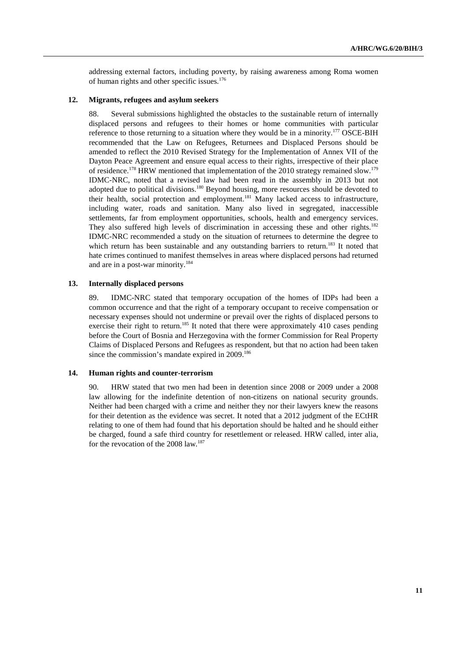addressing external factors, including poverty, by raising awareness among Roma women of human rights and other specific issues.<sup>176</sup>

#### **12. Migrants, refugees and asylum seekers**

88. Several submissions highlighted the obstacles to the sustainable return of internally displaced persons and refugees to their homes or home communities with particular reference to those returning to a situation where they would be in a minority.177 OSCE-BIH recommended that the Law on Refugees, Returnees and Displaced Persons should be amended to reflect the 2010 Revised Strategy for the Implementation of Annex VII of the Dayton Peace Agreement and ensure equal access to their rights, irrespective of their place of residence.<sup>178</sup> HRW mentioned that implementation of the 2010 strategy remained slow.<sup>179</sup> IDMC-NRC, noted that a revised law had been read in the assembly in 2013 but not adopted due to political divisions.180 Beyond housing, more resources should be devoted to their health, social protection and employment.<sup>181</sup> Many lacked access to infrastructure, including water, roads and sanitation. Many also lived in segregated, inaccessible settlements, far from employment opportunities, schools, health and emergency services. They also suffered high levels of discrimination in accessing these and other rights.<sup>182</sup> IDMC-NRC recommended a study on the situation of returnees to determine the degree to which return has been sustainable and any outstanding barriers to return.<sup>183</sup> It noted that hate crimes continued to manifest themselves in areas where displaced persons had returned and are in a post-war minority*.* 184

#### **13. Internally displaced persons**

89. IDMC-NRC stated that temporary occupation of the homes of IDPs had been a common occurrence and that the right of a temporary occupant to receive compensation or necessary expenses should not undermine or prevail over the rights of displaced persons to exercise their right to return.<sup>185</sup> It noted that there were approximately  $\overline{410}$  cases pending before the Court of Bosnia and Herzegovina with the former Commission for Real Property Claims of Displaced Persons and Refugees as respondent, but that no action had been taken since the commission's mandate expired in 2009.<sup>186</sup>

### **14. Human rights and counter-terrorism**

90. HRW stated that two men had been in detention since 2008 or 2009 under a 2008 law allowing for the indefinite detention of non-citizens on national security grounds. Neither had been charged with a crime and neither they nor their lawyers knew the reasons for their detention as the evidence was secret. It noted that a 2012 judgment of the ECtHR relating to one of them had found that his deportation should be halted and he should either be charged, found a safe third country for resettlement or released. HRW called, inter alia, for the revocation of the 2008 law.<sup>187</sup>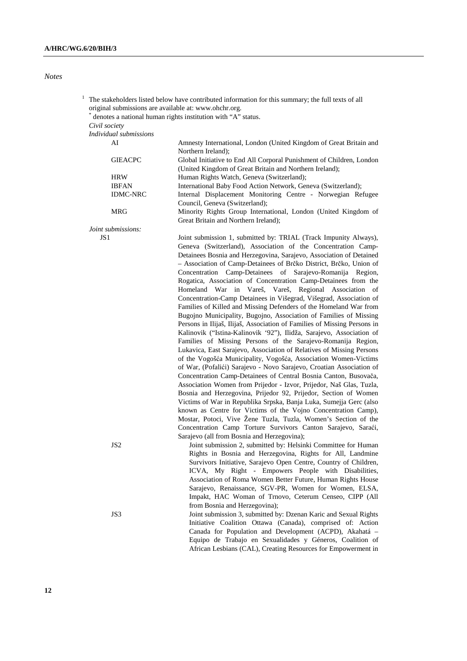### *Notes*

| original submissions are available at: www.ohchr.org. | The stakeholders listed below have contributed information for this summary; the full texts of all<br>denotes a national human rights institution with "A" status.                                                                                                            |
|-------------------------------------------------------|-------------------------------------------------------------------------------------------------------------------------------------------------------------------------------------------------------------------------------------------------------------------------------|
| Civil society                                         |                                                                                                                                                                                                                                                                               |
| Individual submissions                                |                                                                                                                                                                                                                                                                               |
| AI                                                    | Amnesty International, London (United Kingdom of Great Britain and<br>Northern Ireland);                                                                                                                                                                                      |
| <b>GIEACPC</b>                                        | Global Initiative to End All Corporal Punishment of Children, London<br>(United Kingdom of Great Britain and Northern Ireland);                                                                                                                                               |
| <b>HRW</b>                                            | Human Rights Watch, Geneva (Switzerland);                                                                                                                                                                                                                                     |
| <b>IBFAN</b>                                          | International Baby Food Action Network, Geneva (Switzerland);                                                                                                                                                                                                                 |
| <b>IDMC-NRC</b>                                       | Internal Displacement Monitoring Centre - Norwegian Refugee<br>Council, Geneva (Switzerland);                                                                                                                                                                                 |
| MRG                                                   | Minority Rights Group International, London (United Kingdom of<br>Great Britain and Northern Ireland);                                                                                                                                                                        |
| Joint submissions:                                    |                                                                                                                                                                                                                                                                               |
| JS 1                                                  | Joint submission 1, submitted by: TRIAL (Track Impunity Always),<br>Geneva (Switzerland), Association of the Concentration Camp-<br>Detainees Bosnia and Herzegovina, Sarajevo, Association of Detained<br>- Association of Camp-Detainees of Brčko District, Brčko, Union of |
|                                                       | Concentration Camp-Detainees of Sarajevo-Romanija Region,<br>Rogatica, Association of Concentration Camp-Detainees from the                                                                                                                                                   |
|                                                       | Homeland War in Vareš, Vareš, Regional Association of                                                                                                                                                                                                                         |
|                                                       | Concentration-Camp Detainees in Višegrad, Višegrad, Association of<br>Families of Killed and Missing Defenders of the Homeland War from                                                                                                                                       |
|                                                       | Bugojno Municipality, Bugojno, Association of Families of Missing<br>Persons in Ilijaš, Ilijaš, Association of Families of Missing Persons in                                                                                                                                 |
|                                                       | Kalinovik ("Istina-Kalinovik '92"), Ilidža, Sarajevo, Association of<br>Families of Missing Persons of the Sarajevo-Romanija Region,                                                                                                                                          |
|                                                       | Lukavica, East Sarajevo, Association of Relatives of Missing Persons<br>of the Vogošća Municipality, Vogošća, Association Women-Victims                                                                                                                                       |
|                                                       | of War, (Pofalići) Sarajevo - Novo Sarajevo, Croatian Association of                                                                                                                                                                                                          |
|                                                       | Concentration Camp-Detainees of Central Bosnia Canton, Busovača,<br>Association Women from Prijedor - Izvor, Prijedor, Naš Glas, Tuzla,                                                                                                                                       |
|                                                       | Bosnia and Herzegovina, Prijedor 92, Prijedor, Section of Women                                                                                                                                                                                                               |
|                                                       | Victims of War in Republika Srpska, Banja Luka, Sumejja Gerc (also<br>known as Centre for Victims of the Vojno Concentration Camp),                                                                                                                                           |
|                                                       | Mostar, Potoci, Vive Žene Tuzla, Tuzla, Women's Section of the                                                                                                                                                                                                                |
|                                                       | Concentration Camp Torture Survivors Canton Sarajevo, Saraći,                                                                                                                                                                                                                 |
|                                                       | Sarajevo (all from Bosnia and Herzegovina);                                                                                                                                                                                                                                   |
| JS2                                                   | Joint submission 2, submitted by: Helsinki Committee for Human                                                                                                                                                                                                                |
|                                                       | Rights in Bosnia and Herzegovina, Rights for All, Landmine                                                                                                                                                                                                                    |
|                                                       | Survivors Initiative, Sarajevo Open Centre, Country of Children,<br>ICVA, My Right - Empowers People with Disabilities,                                                                                                                                                       |
|                                                       | Association of Roma Women Better Future, Human Rights House                                                                                                                                                                                                                   |
|                                                       | Sarajevo, Renaissance, SGV-PR, Women for Women, ELSA,                                                                                                                                                                                                                         |
|                                                       | Impakt, HAC Woman of Trnovo, Ceterum Censeo, CIPP (All                                                                                                                                                                                                                        |
|                                                       | from Bosnia and Herzegovina);                                                                                                                                                                                                                                                 |
| JS3                                                   | Joint submission 3, submitted by: Dzenan Karic and Sexual Rights                                                                                                                                                                                                              |
|                                                       | Initiative Coalition Ottawa (Canada), comprised of: Action<br>Canada for Population and Development (ACPD), Akahatá -                                                                                                                                                         |

Equipo de Trabajo en Sexualidades y Géneros, Coalition of African Lesbians (CAL), Creating Resources for Empowerment in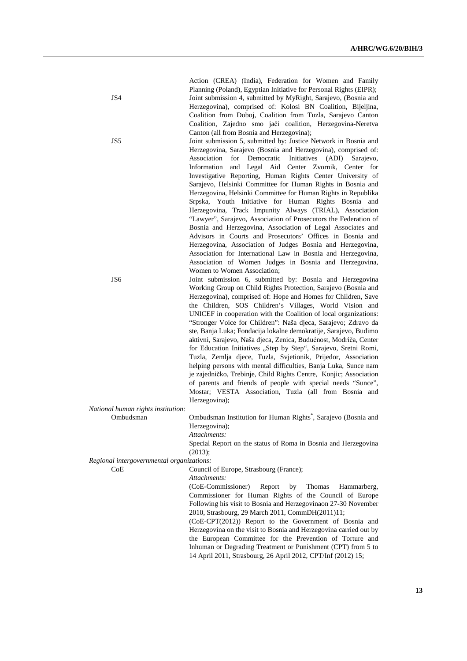| JS4<br>JS5                                | Action (CREA) (India), Federation for Women and Family<br>Planning (Poland), Egyptian Initiative for Personal Rights (EIPR);<br>Joint submission 4, submitted by MyRight, Sarajevo, (Bosnia and<br>Herzegovina), comprised of: Kolosi BN Coalition, Bijeljina,<br>Coalition from Doboj, Coalition from Tuzla, Sarajevo Canton<br>Coalition, Zajedno smo jači coalition, Herzegovina-Neretva<br>Canton (all from Bosnia and Herzegovina);<br>Joint submission 5, submitted by: Justice Network in Bosnia and<br>Herzegovina, Sarajevo (Bosnia and Herzegovina), comprised of:<br>Association for Democratic Initiatives (ADI)<br>Sarajevo,<br>Information and Legal Aid Center Zvornik, Center for<br>Investigative Reporting, Human Rights Center University of<br>Sarajevo, Helsinki Committee for Human Rights in Bosnia and<br>Herzegovina, Helsinki Committee for Human Rights in Republika<br>Srpska, Youth Initiative for Human Rights Bosnia and<br>Herzegovina, Track Impunity Always (TRIAL), Association<br>"Lawyer", Sarajevo, Association of Prosecutors the Federation of |
|-------------------------------------------|----------------------------------------------------------------------------------------------------------------------------------------------------------------------------------------------------------------------------------------------------------------------------------------------------------------------------------------------------------------------------------------------------------------------------------------------------------------------------------------------------------------------------------------------------------------------------------------------------------------------------------------------------------------------------------------------------------------------------------------------------------------------------------------------------------------------------------------------------------------------------------------------------------------------------------------------------------------------------------------------------------------------------------------------------------------------------------------|
|                                           | Bosnia and Herzegovina, Association of Legal Associates and<br>Advisors in Courts and Prosecutors' Offices in Bosnia and<br>Herzegovina, Association of Judges Bosnia and Herzegovina,<br>Association for International Law in Bosnia and Herzegovina,<br>Association of Women Judges in Bosnia and Herzegovina,<br>Women to Women Association;                                                                                                                                                                                                                                                                                                                                                                                                                                                                                                                                                                                                                                                                                                                                        |
| JS <sub>6</sub>                           | Joint submission 6, submitted by: Bosnia and Herzegovina<br>Working Group on Child Rights Protection, Sarajevo (Bosnia and<br>Herzegovina), comprised of: Hope and Homes for Children, Save<br>the Children, SOS Children's Villages, World Vision and<br>UNICEF in cooperation with the Coalition of local organizations:<br>"Stronger Voice for Children": Naša djeca, Sarajevo; Zdravo da<br>ste, Banja Luka; Fondacija lokalne demokratije, Sarajevo, Budimo<br>aktivni, Sarajevo, Naša djeca, Zenica, Budućnost, Modriča, Center<br>for Education Initiatives "Step by Step", Sarajevo, Sretni Romi,<br>Tuzla, Zemlja djece, Tuzla, Svjetionik, Prijedor, Association<br>helping persons with mental difficulties, Banja Luka, Sunce nam<br>je zajedničko, Trebinje, Child Rights Centre, Konjic; Association<br>of parents and friends of people with special needs "Sunce",<br>Mostar; VESTA Association, Tuzla (all from Bosnia and<br>Herzegovina);                                                                                                                           |
| National human rights institution:        |                                                                                                                                                                                                                                                                                                                                                                                                                                                                                                                                                                                                                                                                                                                                                                                                                                                                                                                                                                                                                                                                                        |
| Ombudsman                                 | Ombudsman Institution for Human Rights <sup>*</sup> , Sarajevo (Bosnia and<br>Herzegovina);<br>Attachments:<br>Special Report on the status of Roma in Bosnia and Herzegovina<br>(2013);                                                                                                                                                                                                                                                                                                                                                                                                                                                                                                                                                                                                                                                                                                                                                                                                                                                                                               |
| Regional intergovernmental organizations: |                                                                                                                                                                                                                                                                                                                                                                                                                                                                                                                                                                                                                                                                                                                                                                                                                                                                                                                                                                                                                                                                                        |
| CoE                                       | Council of Europe, Strasbourg (France);<br>Attachments:<br>(CoE-Commissioner)<br>Report<br>by<br>Thomas<br>Hammarberg,<br>Commissioner for Human Rights of the Council of Europe<br>Following his visit to Bosnia and Herzegovinaon 27-30 November<br>2010, Strasbourg, 29 March 2011, CommDH(2011)11;<br>(CoE-CPT(2012)) Report to the Government of Bosnia and<br>Herzegovina on the visit to Bosnia and Herzegovina carried out by<br>the European Committee for the Prevention of Torture and<br>Inhuman or Degrading Treatment or Punishment (CPT) from 5 to<br>14 April 2011, Strasbourg, 26 April 2012, CPT/Inf (2012) 15;                                                                                                                                                                                                                                                                                                                                                                                                                                                      |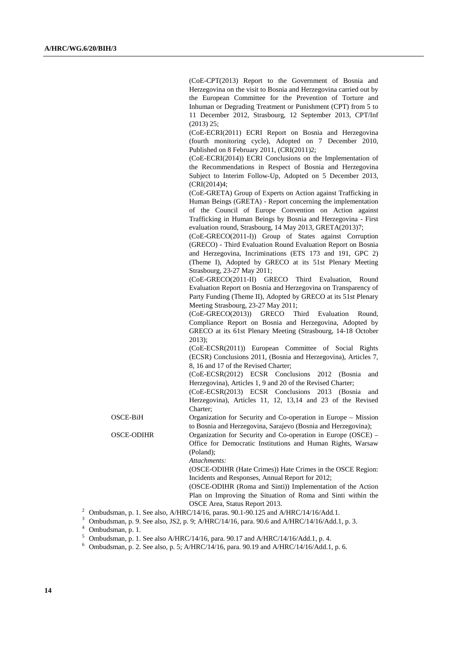(CoE-CPT(2013) Report to the Government of Bosnia and Herzegovina on the visit to Bosnia and Herzegovina carried out by the European Committee for the Prevention of Torture and Inhuman or Degrading Treatment or Punishment (CPT) from 5 to 11 December 2012, Strasbourg, 12 September 2013, CPT/Inf (2013) 25;

 (CoE-ECRI(2011) ECRI Report on Bosnia and Herzegovina (fourth monitoring cycle), Adopted on 7 December 2010, Published on 8 February 2011, (CRI(2011)2;

 (CoE-ECRI(2014)) ECRI Conclusions on the Implementation of the Recommendations in Respect of Bosnia and Herzegovina Subject to Interim Follow-Up, Adopted on 5 December 2013, (CRI(2014)4;

 (CoE-GRETA) Group of Experts on Action against Trafficking in Human Beings (GRETA) - Report concerning the implementation of the Council of Europe Convention on Action against Trafficking in Human Beings by Bosnia and Herzegovina - First evaluation round, Strasbourg, 14 May 2013, GRETA(2013)7;

 (CoE-GRECO(2011-I)) Group of States against Corruption (GRECO) - Third Evaluation Round Evaluation Report on Bosnia and Herzegovina, Incriminations (ETS 173 and 191, GPC 2) (Theme I), Adopted by GRECO at its 51st Plenary Meeting Strasbourg, 23-27 May 2011;

 (CoE-GRECO(2011-II) GRECO Third Evaluation, Round Evaluation Report on Bosnia and Herzegovina on Transparency of Party Funding (Theme II), Adopted by GRECO at its 51st Plenary Meeting Strasbourg, 23-27 May 2011;

 (CoE-GRECO(2013)) GRECO Third Evaluation Round, Compliance Report on Bosnia and Herzegovina, Adopted by GRECO at its 61st Plenary Meeting (Strasbourg, 14-18 October 2013);

 (CoE-ECSR(2011)) European Committee of Social Rights (ECSR) Conclusions 2011, (Bosnia and Herzegovina), Articles 7, 8, 16 and 17 of the Revised Charter;

 (CoE-ECSR(2012) ECSR Conclusions 2012 (Bosnia and Herzegovina), Articles 1, 9 and 20 of the Revised Charter;

 (CoE-ECSR(2013) ECSR Conclusions 2013 (Bosnia and Herzegovina), Articles 11, 12, 13,14 and 23 of the Revised Charter;

OSCE-BiH Organization for Security and Co-operation in Europe – Mission to Bosnia and Herzegovina, Sarajevo (Bosnia and Herzegovina);

OSCE-ODIHR Organization for Security and Co-operation in Europe (OSCE) – Office for Democratic Institutions and Human Rights, Warsaw (Poland);

 *Attachments:* 

 (OSCE-ODIHR (Hate Crimes)) Hate Crimes in the OSCE Region: Incidents and Responses, Annual Report for 2012;

 (OSCE-ODIHR (Roma and Sinti)) Implementation of the Action Plan on Improving the Situation of Roma and Sinti within the OSCE Area, Status Report 2013.

<sup>2</sup> Ombudsman, p. 1. See also, A/HRC/14/16, paras. 90.1-90.125 and A/HRC/14/16/Add.1.

<sup>3</sup> Ombudsman, p. 9. See also, JS2, p. 9; A/HRC/14/16, para. 90.6 and A/HRC/14/16/Add.1, p. 3.

4 Ombudsman, p. 1.

<sup>5</sup> Ombudsman, p. 1. See also A/HRC/14/16, para. 90.17 and A/HRC/14/16/Add.1, p. 4.

<sup>6</sup> Ombudsman, p. 2. See also, p. 5; A/HRC/14/16, para. 90.19 and A/HRC/14/16/Add.1, p. 6.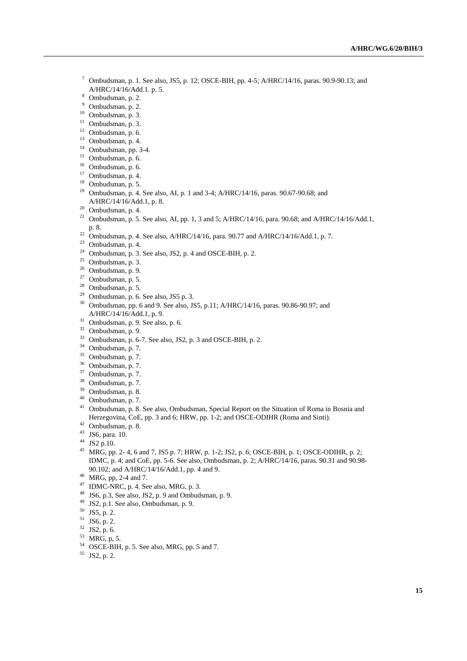- <sup>7</sup> Ombudsman, p. 1. See also, JS5, p. 12; OSCE-BIH, pp. 4-5; A/HRC/14/16, paras. 90.9-90.13; and A/HRC/14/16/Add.1. p. 5.
- Ombudsman, p. 2.
- 9 Ombudsman, p. 2.
- $10$  Ombudsman, p. 3.
- $11$  Ombudsman, p. 3.
- $12$  Ombudsman, p. 6.
- 13 Ombudsman, p. 4.
- <sup>14</sup> Ombudsman, pp. 3-4.
- 15 Ombudsman, p. 6.
- 16 Ombudsman, p. 6.
- 17 Ombudsman, p. 4.
- 18 Ombudsman, p. 5.
- <sup>19</sup> Ombudsman, p. 4. See also, AI, p. 1 and 3-4; A/HRC/14/16, paras. 90.67-90.68; and A/HRC/14/16/Add.1, p. 8. 20 Ombudsman, p. 4.
- 
- <sup>21</sup> Ombudsman, p. 5. See also, AI, pp. 1, 3 and 5; A/HRC/14/16, para. 90.68; and A/HRC/14/16/Add.1,
- p. 8. 22 Ombudsman, p. 4. See also, A/HRC/14/16, para. 90.77 and A/HRC/14/16/Add.1, p. 7.
- $23$  Ombudsman, p. 4.
- <sup>24</sup> Ombudsman, p. 3. See also, JS2, p. 4 and OSCE-BIH, p. 2.
- $25$  Ombudsman, p. 3.
- 26 Ombudsman, p. 9.
- $27$  Ombudsman, p. 5.
- 28 Ombudsman, p. 5.
- $29$  Ombudsman, p. 6. See also, JS5 p. 3.
- <sup>30</sup> Ombudsman, pp. 6 and 9. See also, JS5, p.11; A/HRC/14/16, paras. 90.86-90.97; and A/HRC/14/16/Add.1, p. 9.
- $31$  Ombudsman, p. 9. See also, p. 6.
- 32 Ombudsman, p. 9.
- <sup>33</sup> Ombudsman, p. 6-7. See also, JS2, p. 3 and OSCE-BIH, p. 2.
- $34$  Ombudsman, p. 7.
- $35$  Ombudsman, p. 7.
- 36 Ombudsman, p. 7.
- $37$  Ombudsman, p. 7.
- 38 Ombudsman, p. 7.
- 39 Ombudsman, p. 8.
- 40 Ombudsman, p. 7.
- <sup>41</sup> Ombudsman, p. 8. See also, Ombudsman, Special Report on the Situation of Roma in Bosnia and Herzegovina, CoE, pp. 3 and 6; HRW, pp. 1-2; and OSCE-ODIHR (Roma and Sinti). 42 Ombudsman, p. 8.
- 
- 43 JS6, para. 10.
- $44$  JS2 p.10.
- 45 MRG, pp. 2- 4, 6 and 7, JS5 p. 7; HRW, p. 1-2; JS2, p. 6; OSCE-BIH, p. 1; OSCE-ODIHR, p. 2; IDMC, p. 4; and CoE, pp. 5-6. See also, Ombudsman, p. 2; A/HRC/14/16, paras. 90.31 and 90.98- 90.102; and A/HRC/14/16/Add.1, pp. 4 and 9. 46 MRG, pp, 2-4 and 7.
- 
- $47$  IDMC-NRC, p. 4. See also, MRG, p. 3.
- 48 JS6, p.3, See also, JS2, p. 9 and Ombudsman, p. 9.
- $^{49}$  JS2, p.1. See also, Ombudsman, p. 9.
- 50 JS5, p. 2.
- $51$  JS6, p. 2.
- $52$  JS2, p. 6.
- 53 MRG, p, 5.
- $54$  OSCE-BIH, p. 5. See also, MRG, pp. 5 and 7.
- 55 JS2, p. 2.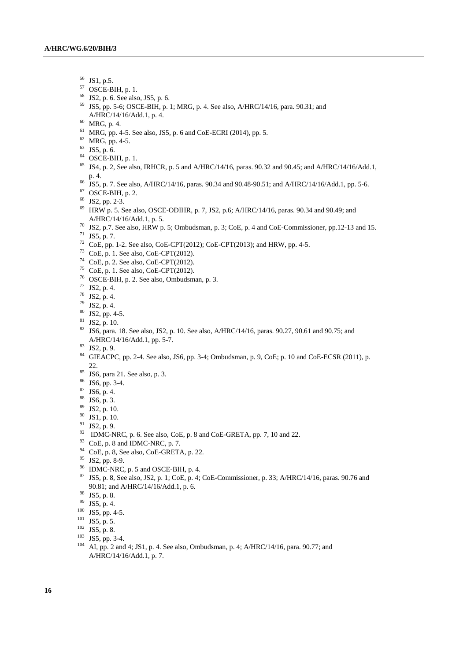- 56 JS1, p.5.
- $57$  OSCE-BIH, p. 1.
- 58 JS2, p. 6. See also, JS5, p. 6.
- 59 JS5, pp. 5-6; OSCE-BIH, p. 1; MRG, p. 4. See also, A/HRC/14/16, para. 90.31; and A/HRC/14/16/Add.1, p. 4. 60 MRG, p. 4.
- 
- 61 MRG, pp. 4-5. See also, JS5, p. 6 and CoE-ECRI (2014), pp. 5.
- 62 MRG, pp. 4-5.
- 63 JS5, p. 6.
- 64 OSCE-BIH, p. 1.
- <sup>65</sup> JS4, p. 2, See also, IRHCR, p. 5 and A/HRC/14/16, paras. 90.32 and 90.45; and A/HRC/14/16/Add.1, p. 4. 66 JS5, p. 7. See also, A/HRC/14/16, paras. 90.34 and 90.48-90.51; and A/HRC/14/16/Add.1, pp. 5-6.
- 
- $67$  OSCE-BIH, p. 2.
- 68 JS2, pp. 2-3.
- <sup>69</sup> HRW p. 5. See also, OSCE-ODIHR, p. 7, JS2, p.6; A/HRC/14/16, paras. 90.34 and 90.49; and A/HRC/14/16/Add.1, p. 5.
- <sup>70</sup> JS2, p.7. See also, HRW p. 5; Ombudsman, p. 3; CoE, p. 4 and CoE-Commissioner, pp.12-13 and 15.
- $71$  JS5, p. 7.
- <sup>72</sup> CoE, pp. 1-2. See also, CoE-CPT(2012); CoE-CPT(2013); and HRW, pp. 4-5.
- $73$  CoE, p. 1. See also, CoE-CPT(2012).
- $74$  CoE, p. 2. See also, CoE-CPT(2012).
- $75$  CoE, p. 1. See also, CoE-CPT(2012).
- 76 OSCE-BIH, p. 2. See also, Ombudsman, p. 3.
- 77 JS2, p. 4.
- $78$  JS2, p. 4.
- 79 JS2, p. 4.
- $80$  JS2, pp. 4-5.
- $81$  JS2, p. 10.
- <sup>82</sup> JS6, para. 18. See also, JS2, p. 10. See also, A/HRC/14/16, paras. 90.27, 90.61 and 90.75; and A/HRC/14/16/Add.1, pp. 5-7. 83 JS2, p. 9.
- 
- 84 GIEACPC, pp. 2-4. See also, JS6, pp. 3-4; Ombudsman, p. 9, CoE; p. 10 and CoE-ECSR (2011), p.
- 22. 85 JS6, para 21. See also, p. 3.
- 86 JS6, pp. 3-4.
- 87 JS6, p. 4.
- 88 JS6, p. 3.
- 89 JS2, p. 10.
- $90$  JS1, p. 10.
- 91 JS2, p. 9.
- $92$  IDMC-NRC, p. 6. See also, CoE, p. 8 and CoE-GRETA, pp. 7, 10 and 22.
- $93$  CoE, p. 8 and IDMC-NRC, p. 7.
- $94$  CoE, p. 8, See also, CoE-GRETA, p. 22.
- 95 JS2, pp. 8-9.
- $96$  IDMC-NRC, p. 5 and OSCE-BIH, p. 4.
- <sup>97</sup> JS5, p. 8, See also, JS2, p. 1; CoE, p. 4; CoE-Commissioner, p. 33; A/HRC/14/16, paras. 90.76 and 90.81; and A/HRC/14/16/Add.1, p. 6.<br><sup>98</sup> JS5, p. 8.<br><sup>99</sup> JS5, p. 4.
- 
- 
- 
- 
- 
- 
- <sup>100</sup> JS5, pp. 4-5.<br><sup>101</sup> JS5, p. 5.<br><sup>102</sup> JS5, p. 8.<br><sup>103</sup> JS5, pp. 3-4.<br><sup>104</sup> AI, pp. 2 and 4; JS1, p. 4. See also, Ombudsman, p. 4; A/HRC/14/16, para. 90.77; and A/HRC/14/16/Add.1, p. 7.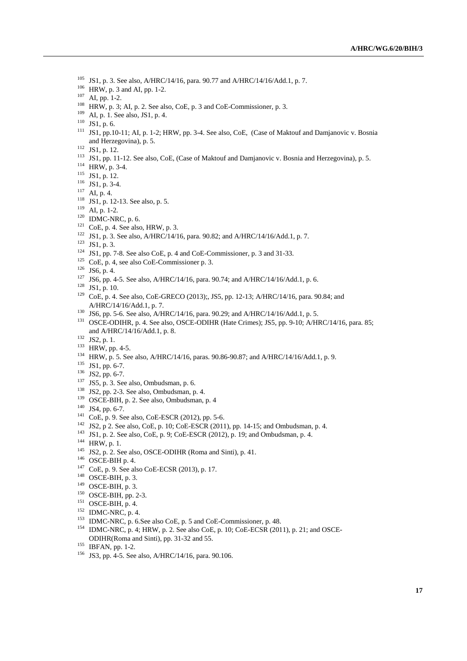- 
- 
- 
- 
- 
- 
- <sup>105</sup> JS1, p. 3. See also, A/HRC/14/16, para. 90.77 and A/HRC/14/16/Add.1, p. 7.<br><sup>106</sup> HRW, p. 3 and AI, pp. 1-2.<br><sup>107</sup> AI, pp. 1-2.<br><sup>107</sup> AI, pp. 1-2.<br><sup>109</sup> HRW, p. 3; AI, p. 2. See also, CoE, p. 3 and CoE-Commissioner, and Herzegovina), p. 5.<br>
<sup>112</sup> ISI, p. 12.<br>
<sup>113</sup> ISI, p. 11-12. See also, CoE, (Case of Maktouf and Damjanovic v. Bosnia and Herzegovina), p. 5.<br>
<sup>114</sup> HRW, p. 3-4.<br>
<sup>114</sup> HRW, p. 3-4.<br>
<sup>116</sup> ISI, p. 12-13. See also, p. 5
- 
- 
- 
- 
- 
- 
- 
- 
- 
- 
- 
- 
- 
- 
- 
- 
- 
- A/HRC/14/16/Add.1, p. 7.<br>
<sup>130</sup> JS6, pp. 5-6. See also, A/HRC/14/16, para. 90.29; and A/HRC/14/16/Add.1, p. 5.<br>
<sup>131</sup> OSCE-ODIHR, p. 4. See also, OSCE-ODIHR (Hate Crimes); JS5, pp. 9-10; A/HRC/14/16, para. 85;
- 
- 
- 
- 
- 
- 
- 
- 
- 
- 
- 
- 
- 
- 
- 
- 
- 
- 
- 
- 
- 
- 
- 
- 
- and A/HRC/14/16/Add.1, p. 8.<br>
<sup>132</sup> IS2, p. 1.<br>
<sup>132</sup> IS2, p. 1.<br>
<sup>133</sup> IRW, pp. 4-5.<br>
<sup>134</sup> HRW, p. 5. See also, A/HRC/14/16, paras. 90.86-90.87; and A/HRC/14/16/Add.1, p. 9.<br>
<sup>133</sup> IS1, pp. 6-7.<br>
<sup>136</sup> IS2, pp. 6-7.<br>
<sup>1</sup> ODIHR(Roma and Sinti), pp. 31-32 and 55. 155 IBFAN, pp. 1-2. 156 JS3, pp. 4-5. See also, A/HRC/14/16, para. 90.106.
- 
-